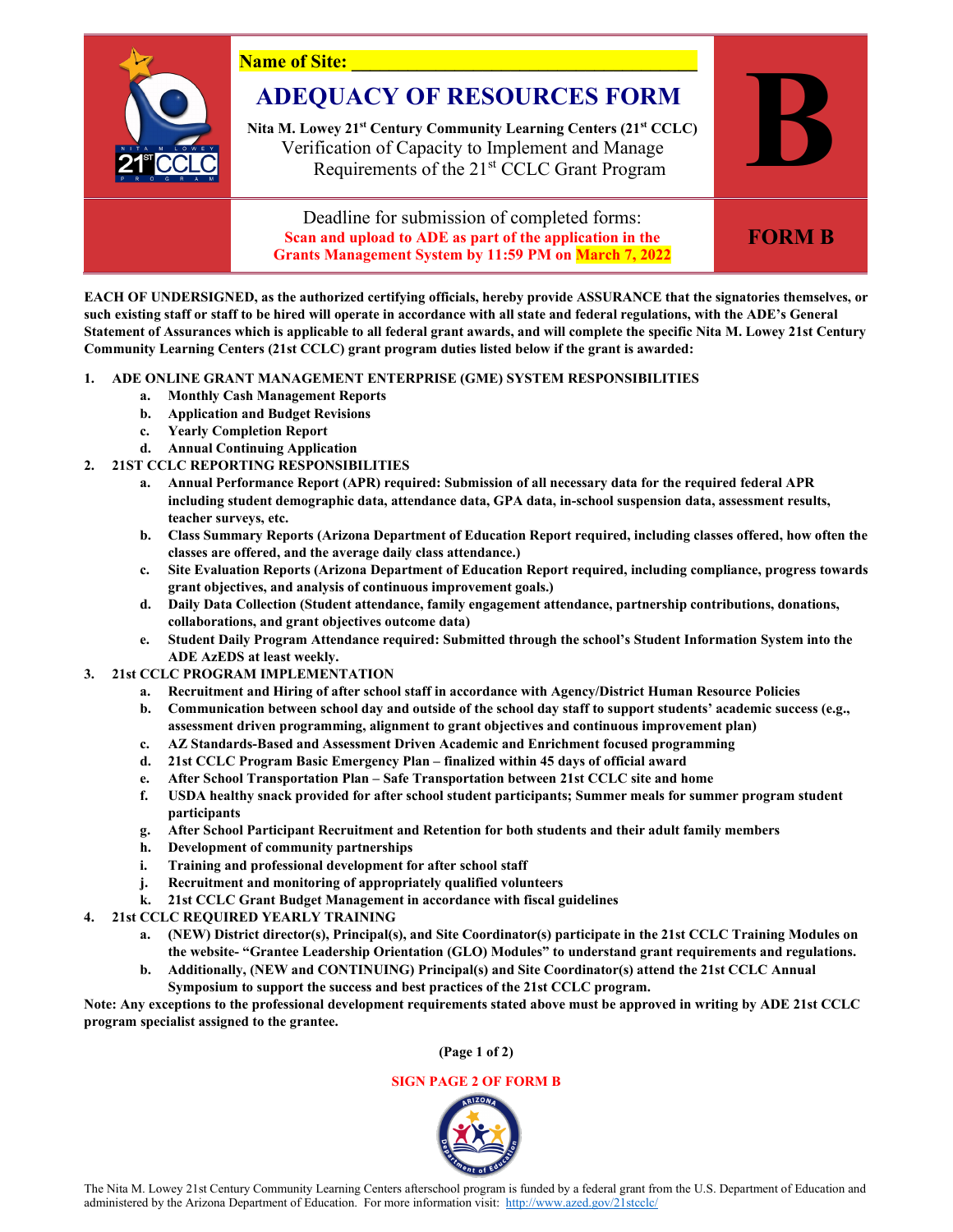

**EACH OF UNDERSIGNED, as the authorized certifying officials, hereby provide ASSURANCE that the signatories themselves, or such existing staff or staff to be hired will operate in accordance with all state and federal regulations, with the ADE's General Statement of Assurances which is applicable to all federal grant awards, and will complete the specific Nita M. Lowey 21st Century Community Learning Centers (21st CCLC) grant program duties listed below if the grant is awarded:**

## **1. ADE ONLINE GRANT MANAGEMENT ENTERPRISE (GME) SYSTEM RESPONSIBILITIES**

- **a. Monthly Cash Management Reports**
- **b. Application and Budget Revisions**
- **c. Yearly Completion Report**
- **d. Annual Continuing Application**
- **2. 21ST CCLC REPORTING RESPONSIBILITIES**
	- **a. Annual Performance Report (APR) required: Submission of all necessary data for the required federal APR including student demographic data, attendance data, GPA data, in-school suspension data, assessment results, teacher surveys, etc.**
	- **b. Class Summary Reports (Arizona Department of Education Report required, including classes offered, how often the classes are offered, and the average daily class attendance.)**
	- **c. Site Evaluation Reports (Arizona Department of Education Report required, including compliance, progress towards grant objectives, and analysis of continuous improvement goals.)**
	- **d. Daily Data Collection (Student attendance, family engagement attendance, partnership contributions, donations, collaborations, and grant objectives outcome data)**
	- **e. Student Daily Program Attendance required: Submitted through the school's Student Information System into the ADE AzEDS at least weekly.**
- **3. 21st CCLC PROGRAM IMPLEMENTATION**
	- **a. Recruitment and Hiring of after school staff in accordance with Agency/District Human Resource Policies**
	- **b. Communication between school day and outside of the school day staff to support students' academic success (e.g., assessment driven programming, alignment to grant objectives and continuous improvement plan)**
	- **c. AZ Standards-Based and Assessment Driven Academic and Enrichment focused programming**
	- **d. 21st CCLC Program Basic Emergency Plan finalized within 45 days of official award**
	- **e. After School Transportation Plan Safe Transportation between 21st CCLC site and home**
	- **f. USDA healthy snack provided for after school student participants; Summer meals for summer program student participants**
	- **g. After School Participant Recruitment and Retention for both students and their adult family members**
	- **h. Development of community partnerships**
	- **i. Training and professional development for after school staff**
	- **j. Recruitment and monitoring of appropriately qualified volunteers**
	- **k. 21st CCLC Grant Budget Management in accordance with fiscal guidelines**
- **4. 21st CCLC REQUIRED YEARLY TRAINING**
	- **a. (NEW) District director(s), Principal(s), and Site Coordinator(s) participate in the 21st CCLC Training Modules on the website- "Grantee Leadership Orientation (GLO) Modules" to understand grant requirements and regulations.**
	- **b. Additionally, (NEW and CONTINUING) Principal(s) and Site Coordinator(s) attend the 21st CCLC Annual Symposium to support the success and best practices of the 21st CCLC program.**

**Note: Any exceptions to the professional development requirements stated above must be approved in writing by ADE 21st CCLC program specialist assigned to the grantee.** 

**(Page 1 of 2)**

## **SIGN PAGE 2 OF FORM B**